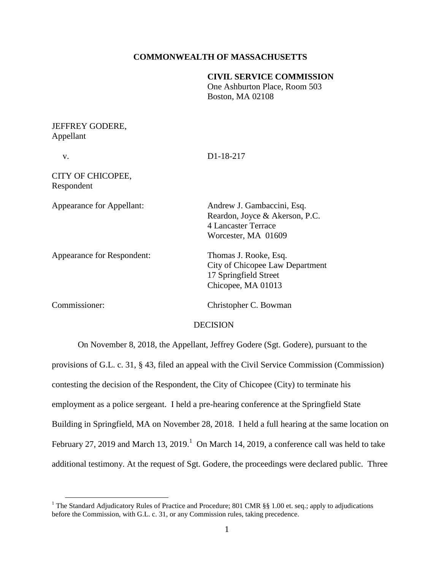### **COMMONWEALTH OF MASSACHUSETTS**

## **CIVIL SERVICE COMMISSION** One Ashburton Place, Room 503 Boston, MA 02108

### JEFFREY GODERE, Appellant

 $\overline{a}$ 

| V.                               | D1-18-217                                                                                                  |
|----------------------------------|------------------------------------------------------------------------------------------------------------|
| CITY OF CHICOPEE,<br>Respondent  |                                                                                                            |
| <b>Appearance for Appellant:</b> | Andrew J. Gambaccini, Esq.<br>Reardon, Joyce & Akerson, P.C.<br>4 Lancaster Terrace<br>Worcester, MA 01609 |
| Appearance for Respondent:       | Thomas J. Rooke, Esq.<br>City of Chicopee Law Department<br>17 Springfield Street<br>Chicopee, MA 01013    |
| Commissioner:                    | Christopher C. Bowman                                                                                      |
|                                  | DECISION                                                                                                   |

On November 8, 2018, the Appellant, Jeffrey Godere (Sgt. Godere), pursuant to the provisions of G.L. c. 31, § 43, filed an appeal with the Civil Service Commission (Commission) contesting the decision of the Respondent, the City of Chicopee (City) to terminate his employment as a police sergeant. I held a pre-hearing conference at the Springfield State Building in Springfield, MA on November 28, 2018. I held a full hearing at the same location on February 27, 2019 and March 13, 2019.<sup>1</sup> On March 14, 2019, a conference call was held to take additional testimony. At the request of Sgt. Godere, the proceedings were declared public. Three

<sup>&</sup>lt;sup>1</sup> The Standard Adjudicatory Rules of Practice and Procedure; 801 CMR §§ 1.00 et. seq.; apply to adjudications before the Commission, with G.L. c. 31, or any Commission rules, taking precedence.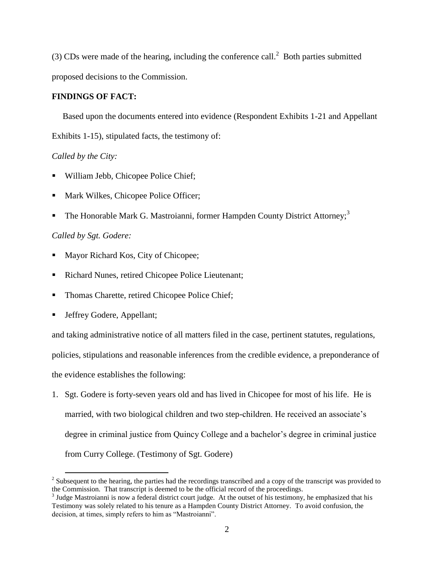(3) CDs were made of the hearing, including the conference call.<sup>2</sup> Both parties submitted proposed decisions to the Commission.

### **FINDINGS OF FACT:**

 Based upon the documents entered into evidence (Respondent Exhibits 1-21 and Appellant Exhibits 1-15), stipulated facts, the testimony of:

# *Called by the City:*

- William Jebb, Chicopee Police Chief;
- Mark Wilkes, Chicopee Police Officer;
- The Honorable Mark G. Mastroianni, former Hampden County District Attorney;<sup>3</sup>

# *Called by Sgt. Godere:*

- Mayor Richard Kos, City of Chicopee;
- Richard Nunes, retired Chicopee Police Lieutenant;
- Thomas Charette, retired Chicopee Police Chief;
- Jeffrey Godere, Appellant;

and taking administrative notice of all matters filed in the case, pertinent statutes, regulations, policies, stipulations and reasonable inferences from the credible evidence, a preponderance of the evidence establishes the following:

1. Sgt. Godere is forty-seven years old and has lived in Chicopee for most of his life. He is married, with two biological children and two step-children. He received an associate's degree in criminal justice from Quincy College and a bachelor's degree in criminal justice from Curry College. (Testimony of Sgt. Godere)

<sup>&</sup>lt;sup>2</sup> Subsequent to the hearing, the parties had the recordings transcribed and a copy of the transcript was provided to the Commission. That transcript is deemed to be the official record of the proceedings.

 $3$  Judge Mastroianni is now a federal district court judge. At the outset of his testimony, he emphasized that his Testimony was solely related to his tenure as a Hampden County District Attorney. To avoid confusion, the decision, at times, simply refers to him as "Mastroianni".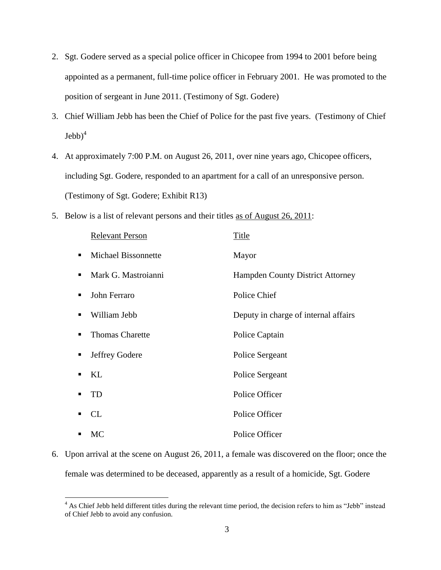- 2. Sgt. Godere served as a special police officer in Chicopee from 1994 to 2001 before being appointed as a permanent, full-time police officer in February 2001. He was promoted to the position of sergeant in June 2011. (Testimony of Sgt. Godere)
- 3. Chief William Jebb has been the Chief of Police for the past five years. (Testimony of Chief  $\mathrm{Jebb}^4$
- 4. At approximately 7:00 P.M. on August 26, 2011, over nine years ago, Chicopee officers, including Sgt. Godere, responded to an apartment for a call of an unresponsive person. (Testimony of Sgt. Godere; Exhibit R13)
- 5. Below is a list of relevant persons and their titles as of August 26, 2011:

|   | <b>Relevant Person</b>     | Title                                   |
|---|----------------------------|-----------------------------------------|
|   | <b>Michael Bissonnette</b> | Mayor                                   |
|   | Mark G. Mastroianni        | <b>Hampden County District Attorney</b> |
|   | John Ferraro               | Police Chief                            |
|   | William Jebb               | Deputy in charge of internal affairs    |
|   | <b>Thomas Charette</b>     | Police Captain                          |
| п | Jeffrey Godere             | Police Sergeant                         |
|   | KL                         | Police Sergeant                         |
|   | TD                         | Police Officer                          |
|   | CL                         | Police Officer                          |
|   | <b>MC</b>                  | Police Officer                          |

6. Upon arrival at the scene on August 26, 2011, a female was discovered on the floor; once the female was determined to be deceased, apparently as a result of a homicide, Sgt. Godere

 $\overline{a}$ 

 $4$  As Chief Jebb held different titles during the relevant time period, the decision refers to him as "Jebb" instead of Chief Jebb to avoid any confusion.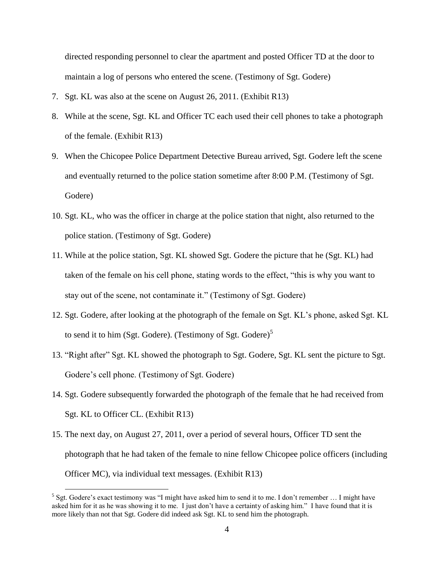directed responding personnel to clear the apartment and posted Officer TD at the door to maintain a log of persons who entered the scene. (Testimony of Sgt. Godere)

- 7. Sgt. KL was also at the scene on August 26, 2011. (Exhibit R13)
- 8. While at the scene, Sgt. KL and Officer TC each used their cell phones to take a photograph of the female. (Exhibit R13)
- 9. When the Chicopee Police Department Detective Bureau arrived, Sgt. Godere left the scene and eventually returned to the police station sometime after 8:00 P.M. (Testimony of Sgt. Godere)
- 10. Sgt. KL, who was the officer in charge at the police station that night, also returned to the police station. (Testimony of Sgt. Godere)
- 11. While at the police station, Sgt. KL showed Sgt. Godere the picture that he (Sgt. KL) had taken of the female on his cell phone, stating words to the effect, "this is why you want to stay out of the scene, not contaminate it." (Testimony of Sgt. Godere)
- 12. Sgt. Godere, after looking at the photograph of the female on Sgt. KL's phone, asked Sgt. KL to send it to him (Sgt. Godere). (Testimony of Sgt. Godere)<sup>5</sup>
- 13. "Right after" Sgt. KL showed the photograph to Sgt. Godere, Sgt. KL sent the picture to Sgt. Godere's cell phone. (Testimony of Sgt. Godere)
- 14. Sgt. Godere subsequently forwarded the photograph of the female that he had received from Sgt. KL to Officer CL. (Exhibit R13)
- 15. The next day, on August 27, 2011, over a period of several hours, Officer TD sent the photograph that he had taken of the female to nine fellow Chicopee police officers (including Officer MC), via individual text messages. (Exhibit R13)

 $\overline{a}$ 

<sup>&</sup>lt;sup>5</sup> Sgt. Godere's exact testimony was "I might have asked him to send it to me. I don't remember ... I might have asked him for it as he was showing it to me. I just don't have a certainty of asking him." I have found that it is more likely than not that Sgt. Godere did indeed ask Sgt. KL to send him the photograph.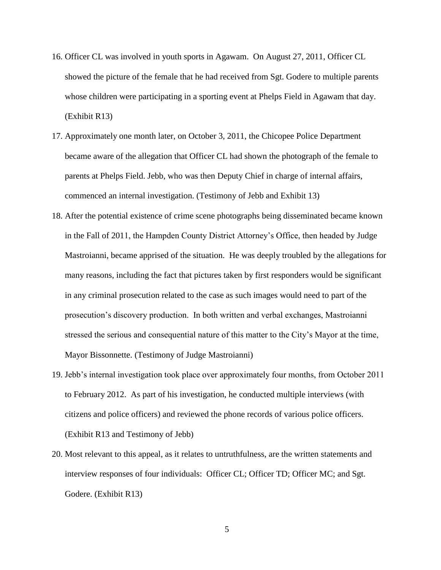- 16. Officer CL was involved in youth sports in Agawam. On August 27, 2011, Officer CL showed the picture of the female that he had received from Sgt. Godere to multiple parents whose children were participating in a sporting event at Phelps Field in Agawam that day. (Exhibit R13)
- 17. Approximately one month later, on October 3, 2011, the Chicopee Police Department became aware of the allegation that Officer CL had shown the photograph of the female to parents at Phelps Field. Jebb, who was then Deputy Chief in charge of internal affairs, commenced an internal investigation. (Testimony of Jebb and Exhibit 13)
- 18. After the potential existence of crime scene photographs being disseminated became known in the Fall of 2011, the Hampden County District Attorney's Office, then headed by Judge Mastroianni, became apprised of the situation. He was deeply troubled by the allegations for many reasons, including the fact that pictures taken by first responders would be significant in any criminal prosecution related to the case as such images would need to part of the prosecution's discovery production. In both written and verbal exchanges, Mastroianni stressed the serious and consequential nature of this matter to the City's Mayor at the time, Mayor Bissonnette. (Testimony of Judge Mastroianni)
- 19. Jebb's internal investigation took place over approximately four months, from October 2011 to February 2012. As part of his investigation, he conducted multiple interviews (with citizens and police officers) and reviewed the phone records of various police officers. (Exhibit R13 and Testimony of Jebb)
- 20. Most relevant to this appeal, as it relates to untruthfulness, are the written statements and interview responses of four individuals: Officer CL; Officer TD; Officer MC; and Sgt. Godere. (Exhibit R13)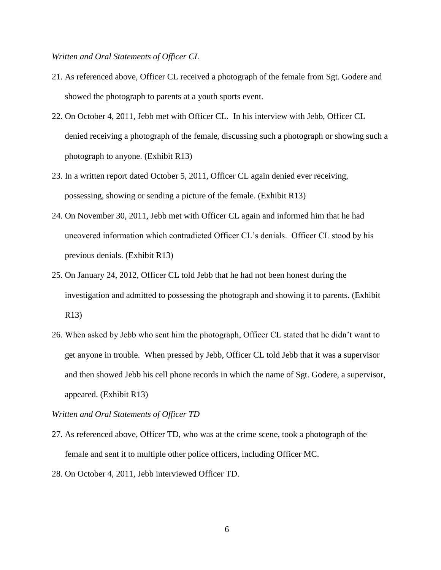### *Written and Oral Statements of Officer CL*

- 21. As referenced above, Officer CL received a photograph of the female from Sgt. Godere and showed the photograph to parents at a youth sports event.
- 22. On October 4, 2011, Jebb met with Officer CL. In his interview with Jebb, Officer CL denied receiving a photograph of the female, discussing such a photograph or showing such a photograph to anyone. (Exhibit R13)
- 23. In a written report dated October 5, 2011, Officer CL again denied ever receiving, possessing, showing or sending a picture of the female. (Exhibit R13)
- 24. On November 30, 2011, Jebb met with Officer CL again and informed him that he had uncovered information which contradicted Officer CL's denials. Officer CL stood by his previous denials. (Exhibit R13)
- 25. On January 24, 2012, Officer CL told Jebb that he had not been honest during the investigation and admitted to possessing the photograph and showing it to parents. (Exhibit R13)
- 26. When asked by Jebb who sent him the photograph, Officer CL stated that he didn't want to get anyone in trouble. When pressed by Jebb, Officer CL told Jebb that it was a supervisor and then showed Jebb his cell phone records in which the name of Sgt. Godere, a supervisor, appeared. (Exhibit R13)

*Written and Oral Statements of Officer TD*

- 27. As referenced above, Officer TD, who was at the crime scene, took a photograph of the female and sent it to multiple other police officers, including Officer MC.
- 28. On October 4, 2011, Jebb interviewed Officer TD.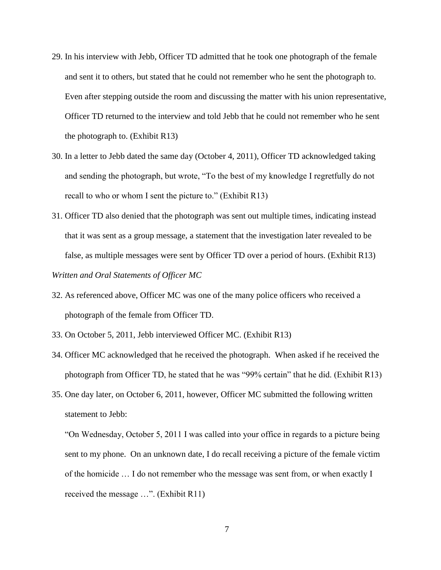- 29. In his interview with Jebb, Officer TD admitted that he took one photograph of the female and sent it to others, but stated that he could not remember who he sent the photograph to. Even after stepping outside the room and discussing the matter with his union representative, Officer TD returned to the interview and told Jebb that he could not remember who he sent the photograph to. (Exhibit R13)
- 30. In a letter to Jebb dated the same day (October 4, 2011), Officer TD acknowledged taking and sending the photograph, but wrote, "To the best of my knowledge I regretfully do not recall to who or whom I sent the picture to." (Exhibit  $R13$ )
- 31. Officer TD also denied that the photograph was sent out multiple times, indicating instead that it was sent as a group message, a statement that the investigation later revealed to be false, as multiple messages were sent by Officer TD over a period of hours. (Exhibit R13)

## *Written and Oral Statements of Officer MC*

- 32. As referenced above, Officer MC was one of the many police officers who received a photograph of the female from Officer TD.
- 33. On October 5, 2011, Jebb interviewed Officer MC. (Exhibit R13)
- 34. Officer MC acknowledged that he received the photograph. When asked if he received the photograph from Officer TD, he stated that he was "99% certain" that he did. (Exhibit R13)
- 35. One day later, on October 6, 2011, however, Officer MC submitted the following written statement to Jebb:

"On Wednesday, October 5, 2011 I was called into your office in regards to a picture being sent to my phone. On an unknown date, I do recall receiving a picture of the female victim of the homicide … I do not remember who the message was sent from, or when exactly I received the message …". (Exhibit R11)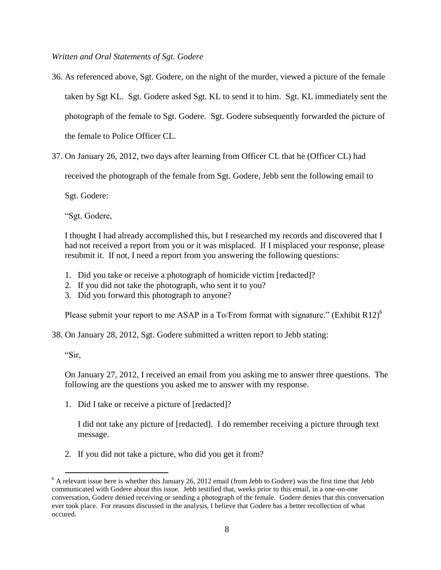*Written and Oral Statements of Sgt. Godere*

- 36. As referenced above, Sgt. Godere, on the night of the murder, viewed a picture of the female taken by Sgt KL. Sgt. Godere asked Sgt. KL to send it to him. Sgt. KL immediately sent the photograph of the female to Sgt. Godere. Sgt. Godere subsequently forwarded the picture of the female to Police Officer CL.
- 37. On January 26, 2012, two days after learning from Officer CL that he (Officer CL) had

received the photograph of the female from Sgt. Godere, Jebb sent the following email to

Sgt. Godere:

"Sgt. Godere,

I thought I had already accomplished this, but I researched my records and discovered that I had not received a report from you or it was misplaced. If I misplaced your response, please resubmit it. If not, I need a report from you answering the following questions:

- 1. Did you take or receive a photograph of homicide victim [redacted]?
- 2. If you did not take the photograph, who sent it to you?
- 3. Did you forward this photograph to anyone?

Please submit your report to me ASAP in a To/From format with signature." (Exhibit R12)<sup>6</sup>

38. On January 28, 2012, Sgt. Godere submitted a written report to Jebb stating:

"Sir,

On January 27, 2012, I received an email from you asking me to answer three questions. The following are the questions you asked me to answer with my response.

1. Did I take or receive a picture of [redacted]?

I did not take any picture of [redacted]. I do remember receiving a picture through text message.

2. If you did not take a picture, who did you get it from?

 $\overline{a}$  $6$  A relevant issue here is whether this January 26, 2012 email (from Jebb to Godere) was the first time that Jebb communicated with Godere about this issue. Jebb testified that, weeks prior to this email, in a one-on-one conversation, Godere denied receiving or sending a photograph of the female. Godere denies that this conversation ever took place. For reasons discussed in the analysis, I believe that Godere has a better recollection of what occured.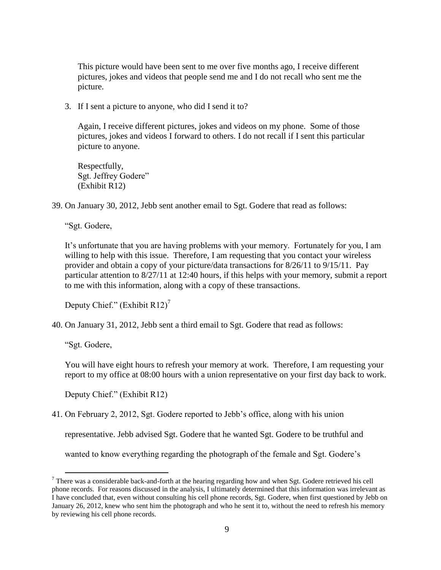This picture would have been sent to me over five months ago, I receive different pictures, jokes and videos that people send me and I do not recall who sent me the picture.

3. If I sent a picture to anyone, who did I send it to?

Again, I receive different pictures, jokes and videos on my phone. Some of those pictures, jokes and videos I forward to others. I do not recall if I sent this particular picture to anyone.

Respectfully, Sgt. Jeffrey Godere" (Exhibit R12)

39. On January 30, 2012, Jebb sent another email to Sgt. Godere that read as follows:

"Sgt. Godere,

It's unfortunate that you are having problems with your memory. Fortunately for you, I am willing to help with this issue. Therefore, I am requesting that you contact your wireless provider and obtain a copy of your picture/data transactions for 8/26/11 to 9/15/11. Pay particular attention to 8/27/11 at 12:40 hours, if this helps with your memory, submit a report to me with this information, along with a copy of these transactions.

Deputy Chief." (Exhibit  $R12$ )<sup>7</sup>

40. On January 31, 2012, Jebb sent a third email to Sgt. Godere that read as follows:

"Sgt. Godere,

 $\overline{a}$ 

You will have eight hours to refresh your memory at work. Therefore, I am requesting your report to my office at 08:00 hours with a union representative on your first day back to work.

Deputy Chief." (Exhibit R12)

41. On February 2, 2012, Sgt. Godere reported to Jebb's office, along with his union

representative. Jebb advised Sgt. Godere that he wanted Sgt. Godere to be truthful and

wanted to know everything regarding the photograph of the female and Sgt. Godere's

 $7$  There was a considerable back-and-forth at the hearing regarding how and when Sgt. Godere retrieved his cell phone records. For reasons discussed in the analysis, I ultimately determined that this information was irrelevant as I have concluded that, even without consulting his cell phone records, Sgt. Godere, when first questioned by Jebb on January 26, 2012, knew who sent him the photograph and who he sent it to, without the need to refresh his memory by reviewing his cell phone records.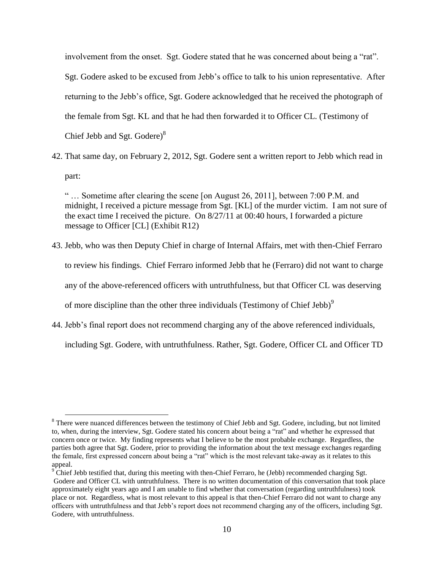involvement from the onset. Sgt. Godere stated that he was concerned about being a "rat". Sgt. Godere asked to be excused from Jebb's office to talk to his union representative. After returning to the Jebb's office, Sgt. Godere acknowledged that he received the photograph of the female from Sgt. KL and that he had then forwarded it to Officer CL. (Testimony of Chief Jebb and Sgt. Godere)<sup>8</sup>

42. That same day, on February 2, 2012, Sgt. Godere sent a written report to Jebb which read in part:

" … Sometime after clearing the scene [on August 26, 2011], between 7:00 P.M. and midnight, I received a picture message from Sgt. [KL] of the murder victim. I am not sure of the exact time I received the picture. On 8/27/11 at 00:40 hours, I forwarded a picture message to Officer [CL] (Exhibit R12)

- 43. Jebb, who was then Deputy Chief in charge of Internal Affairs, met with then-Chief Ferraro to review his findings. Chief Ferraro informed Jebb that he (Ferraro) did not want to charge any of the above-referenced officers with untruthfulness, but that Officer CL was deserving of more discipline than the other three individuals (Testimony of Chief Jebb) $\degree$
- 44. Jebb's final report does not recommend charging any of the above referenced individuals, including Sgt. Godere, with untruthfulness. Rather, Sgt. Godere, Officer CL and Officer TD

 $\overline{a}$ 

<sup>&</sup>lt;sup>8</sup> There were nuanced differences between the testimony of Chief Jebb and Sgt. Godere, including, but not limited to, when, during the interview, Sgt. Godere stated his concern about being a "rat" and whether he expressed that concern once or twice. My finding represents what I believe to be the most probable exchange. Regardless, the parties both agree that Sgt. Godere, prior to providing the information about the text message exchanges regarding the female, first expressed concern about being a "rat" which is the most relevant take-away as it relates to this appeal.

<sup>&</sup>lt;sup>9</sup> Chief Jebb testified that, during this meeting with then-Chief Ferraro, he (Jebb) recommended charging Sgt. Godere and Officer CL with untruthfulness. There is no written documentation of this conversation that took place approximately eight years ago and I am unable to find whether that conversation (regarding untruthfulness) took place or not. Regardless, what is most relevant to this appeal is that then-Chief Ferraro did not want to charge any officers with untruthfulness and that Jebb's report does not recommend charging any of the officers, including Sgt. Godere, with untruthfulness.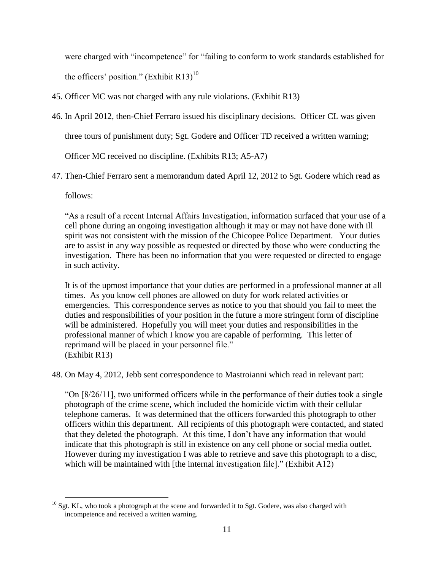were charged with "incompetence" for "failing to conform to work standards established for the officers' position." (Exhibit R13)<sup>10</sup>

- 45. Officer MC was not charged with any rule violations. (Exhibit R13)
- 46. In April 2012, then-Chief Ferraro issued his disciplinary decisions. Officer CL was given

three tours of punishment duty; Sgt. Godere and Officer TD received a written warning;

Officer MC received no discipline. (Exhibits R13; A5-A7)

47. Then-Chief Ferraro sent a memorandum dated April 12, 2012 to Sgt. Godere which read as

follows:

"As a result of a recent Internal Affairs Investigation, information surfaced that your use of a cell phone during an ongoing investigation although it may or may not have done with ill spirit was not consistent with the mission of the Chicopee Police Department. Your duties are to assist in any way possible as requested or directed by those who were conducting the investigation. There has been no information that you were requested or directed to engage in such activity.

It is of the upmost importance that your duties are performed in a professional manner at all times. As you know cell phones are allowed on duty for work related activities or emergencies. This correspondence serves as notice to you that should you fail to meet the duties and responsibilities of your position in the future a more stringent form of discipline will be administered. Hopefully you will meet your duties and responsibilities in the professional manner of which I know you are capable of performing. This letter of reprimand will be placed in your personnel file." (Exhibit R13)

48. On May 4, 2012, Jebb sent correspondence to Mastroianni which read in relevant part:

"On [8/26/11], two uniformed officers while in the performance of their duties took a single photograph of the crime scene, which included the homicide victim with their cellular telephone cameras. It was determined that the officers forwarded this photograph to other officers within this department. All recipients of this photograph were contacted, and stated that they deleted the photograph. At this time, I don't have any information that would indicate that this photograph is still in existence on any cell phone or social media outlet. However during my investigation I was able to retrieve and save this photograph to a disc, which will be maintained with [the internal investigation file]." (Exhibit A12)

 $\overline{a}$  $10$  Sgt. KL, who took a photograph at the scene and forwarded it to Sgt. Godere, was also charged with incompetence and received a written warning.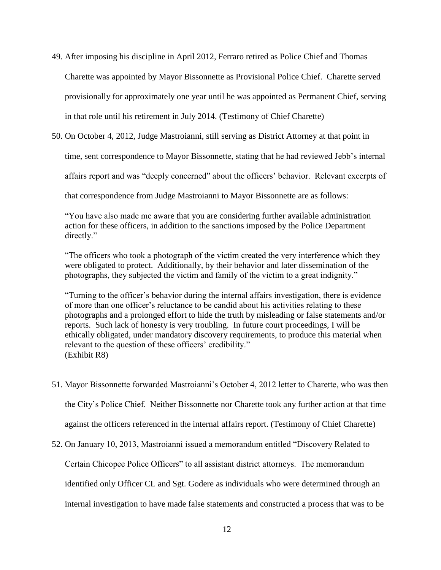- 49. After imposing his discipline in April 2012, Ferraro retired as Police Chief and Thomas Charette was appointed by Mayor Bissonnette as Provisional Police Chief. Charette served provisionally for approximately one year until he was appointed as Permanent Chief, serving in that role until his retirement in July 2014. (Testimony of Chief Charette)
- 50. On October 4, 2012, Judge Mastroianni, still serving as District Attorney at that point in

time, sent correspondence to Mayor Bissonnette, stating that he had reviewed Jebb's internal

affairs report and was "deeply concerned" about the officers' behavior. Relevant excerpts of

that correspondence from Judge Mastroianni to Mayor Bissonnette are as follows:

"You have also made me aware that you are considering further available administration action for these officers, in addition to the sanctions imposed by the Police Department directly."

"The officers who took a photograph of the victim created the very interference which they were obligated to protect. Additionally, by their behavior and later dissemination of the photographs, they subjected the victim and family of the victim to a great indignity."

"Turning to the officer's behavior during the internal affairs investigation, there is evidence of more than one officer's reluctance to be candid about his activities relating to these photographs and a prolonged effort to hide the truth by misleading or false statements and/or reports. Such lack of honesty is very troubling. In future court proceedings, I will be ethically obligated, under mandatory discovery requirements, to produce this material when relevant to the question of these officers' credibility." (Exhibit R8)

- 51. Mayor Bissonnette forwarded Mastroianni's October 4, 2012 letter to Charette, who was then the City's Police Chief. Neither Bissonnette nor Charette took any further action at that time against the officers referenced in the internal affairs report. (Testimony of Chief Charette)
- 52. On January 10, 2013, Mastroianni issued a memorandum entitled "Discovery Related to

Certain Chicopee Police Officers" to all assistant district attorneys. The memorandum

identified only Officer CL and Sgt. Godere as individuals who were determined through an

internal investigation to have made false statements and constructed a process that was to be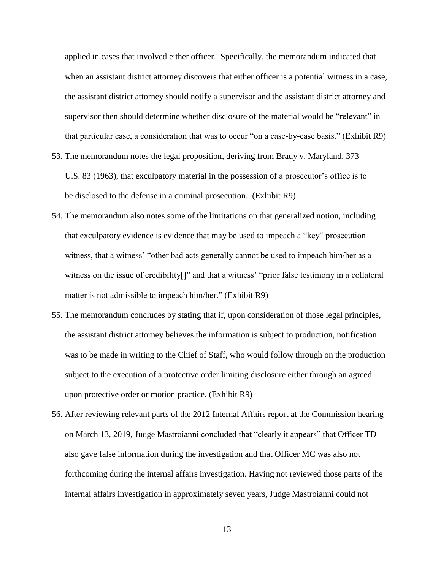applied in cases that involved either officer. Specifically, the memorandum indicated that when an assistant district attorney discovers that either officer is a potential witness in a case, the assistant district attorney should notify a supervisor and the assistant district attorney and supervisor then should determine whether disclosure of the material would be "relevant" in that particular case, a consideration that was to occur "on a case-by-case basis." (Exhibit R9)

- 53. The memorandum notes the legal proposition, deriving from Brady v. Maryland, 373 U.S. 83 (1963), that exculpatory material in the possession of a prosecutor's office is to be disclosed to the defense in a criminal prosecution. (Exhibit R9)
- 54. The memorandum also notes some of the limitations on that generalized notion, including that exculpatory evidence is evidence that may be used to impeach a "key" prosecution witness, that a witness' "other bad acts generally cannot be used to impeach him/her as a witness on the issue of credibility[]" and that a witness' "prior false testimony in a collateral matter is not admissible to impeach him/her." (Exhibit R9)
- 55. The memorandum concludes by stating that if, upon consideration of those legal principles, the assistant district attorney believes the information is subject to production, notification was to be made in writing to the Chief of Staff, who would follow through on the production subject to the execution of a protective order limiting disclosure either through an agreed upon protective order or motion practice. (Exhibit R9)
- 56. After reviewing relevant parts of the 2012 Internal Affairs report at the Commission hearing on March 13, 2019, Judge Mastroianni concluded that "clearly it appears" that Officer TD also gave false information during the investigation and that Officer MC was also not forthcoming during the internal affairs investigation. Having not reviewed those parts of the internal affairs investigation in approximately seven years, Judge Mastroianni could not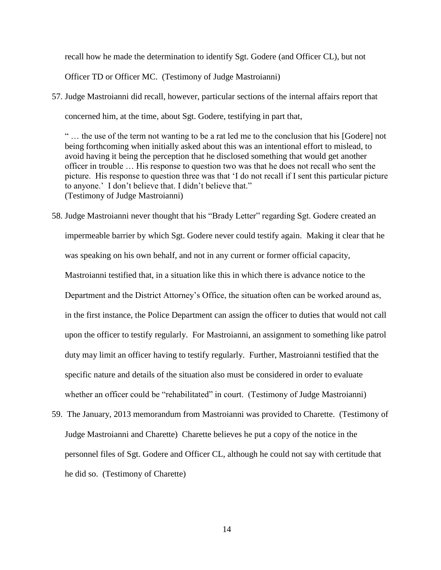recall how he made the determination to identify Sgt. Godere (and Officer CL), but not

Officer TD or Officer MC. (Testimony of Judge Mastroianni)

57. Judge Mastroianni did recall, however, particular sections of the internal affairs report that concerned him, at the time, about Sgt. Godere, testifying in part that,

" … the use of the term not wanting to be a rat led me to the conclusion that his [Godere] not being forthcoming when initially asked about this was an intentional effort to mislead, to avoid having it being the perception that he disclosed something that would get another officer in trouble … His response to question two was that he does not recall who sent the picture. His response to question three was that 'I do not recall if I sent this particular picture to anyone.' I don't believe that. I didn't believe that." (Testimony of Judge Mastroianni)

- 58. Judge Mastroianni never thought that his "Brady Letter" regarding Sgt. Godere created an impermeable barrier by which Sgt. Godere never could testify again. Making it clear that he was speaking on his own behalf, and not in any current or former official capacity, Mastroianni testified that, in a situation like this in which there is advance notice to the Department and the District Attorney's Office, the situation often can be worked around as, in the first instance, the Police Department can assign the officer to duties that would not call upon the officer to testify regularly. For Mastroianni, an assignment to something like patrol duty may limit an officer having to testify regularly. Further, Mastroianni testified that the specific nature and details of the situation also must be considered in order to evaluate whether an officer could be "rehabilitated" in court. (Testimony of Judge Mastroianni)
- 59. The January, 2013 memorandum from Mastroianni was provided to Charette. (Testimony of Judge Mastroianni and Charette) Charette believes he put a copy of the notice in the personnel files of Sgt. Godere and Officer CL, although he could not say with certitude that he did so. (Testimony of Charette)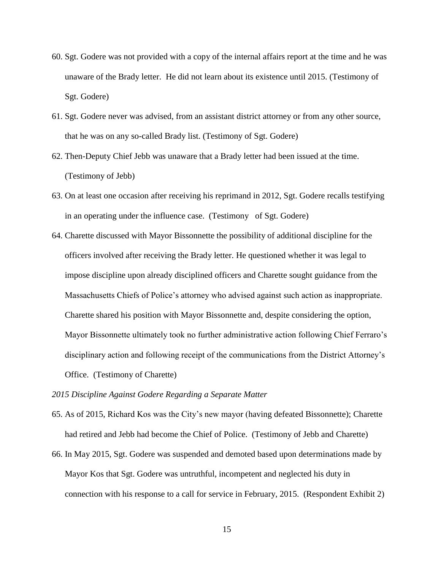- 60. Sgt. Godere was not provided with a copy of the internal affairs report at the time and he was unaware of the Brady letter. He did not learn about its existence until 2015. (Testimony of Sgt. Godere)
- 61. Sgt. Godere never was advised, from an assistant district attorney or from any other source, that he was on any so-called Brady list. (Testimony of Sgt. Godere)
- 62. Then-Deputy Chief Jebb was unaware that a Brady letter had been issued at the time. (Testimony of Jebb)
- 63. On at least one occasion after receiving his reprimand in 2012, Sgt. Godere recalls testifying in an operating under the influence case. (Testimony of Sgt. Godere)
- 64. Charette discussed with Mayor Bissonnette the possibility of additional discipline for the officers involved after receiving the Brady letter. He questioned whether it was legal to impose discipline upon already disciplined officers and Charette sought guidance from the Massachusetts Chiefs of Police's attorney who advised against such action as inappropriate. Charette shared his position with Mayor Bissonnette and, despite considering the option, Mayor Bissonnette ultimately took no further administrative action following Chief Ferraro's disciplinary action and following receipt of the communications from the District Attorney's Office. (Testimony of Charette)
- *2015 Discipline Against Godere Regarding a Separate Matter*
- 65. As of 2015, Richard Kos was the City's new mayor (having defeated Bissonnette); Charette had retired and Jebb had become the Chief of Police. (Testimony of Jebb and Charette)
- 66. In May 2015, Sgt. Godere was suspended and demoted based upon determinations made by Mayor Kos that Sgt. Godere was untruthful, incompetent and neglected his duty in connection with his response to a call for service in February, 2015. (Respondent Exhibit 2)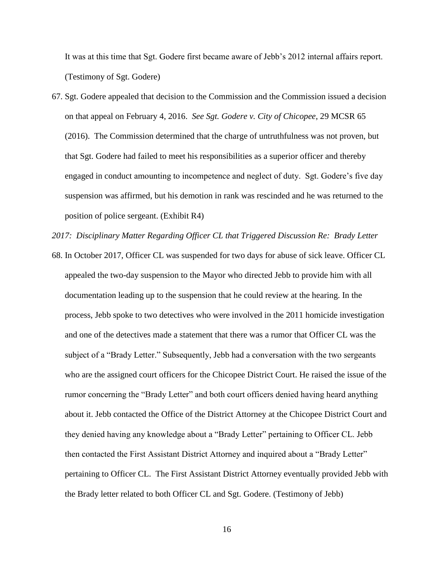It was at this time that Sgt. Godere first became aware of Jebb's 2012 internal affairs report. (Testimony of Sgt. Godere)

67. Sgt. Godere appealed that decision to the Commission and the Commission issued a decision on that appeal on February 4, 2016. *See Sgt. Godere v. City of Chicopee*, 29 MCSR 65 (2016). The Commission determined that the charge of untruthfulness was not proven, but that Sgt. Godere had failed to meet his responsibilities as a superior officer and thereby engaged in conduct amounting to incompetence and neglect of duty. Sgt. Godere's five day suspension was affirmed, but his demotion in rank was rescinded and he was returned to the position of police sergeant. (Exhibit R4)

*2017: Disciplinary Matter Regarding Officer CL that Triggered Discussion Re: Brady Letter* 

68. In October 2017, Officer CL was suspended for two days for abuse of sick leave. Officer CL appealed the two-day suspension to the Mayor who directed Jebb to provide him with all documentation leading up to the suspension that he could review at the hearing. In the process, Jebb spoke to two detectives who were involved in the 2011 homicide investigation and one of the detectives made a statement that there was a rumor that Officer CL was the subject of a "Brady Letter." Subsequently, Jebb had a conversation with the two sergeants who are the assigned court officers for the Chicopee District Court. He raised the issue of the rumor concerning the "Brady Letter" and both court officers denied having heard anything about it. Jebb contacted the Office of the District Attorney at the Chicopee District Court and they denied having any knowledge about a "Brady Letter" pertaining to Officer CL. Jebb then contacted the First Assistant District Attorney and inquired about a "Brady Letter" pertaining to Officer CL. The First Assistant District Attorney eventually provided Jebb with the Brady letter related to both Officer CL and Sgt. Godere. (Testimony of Jebb)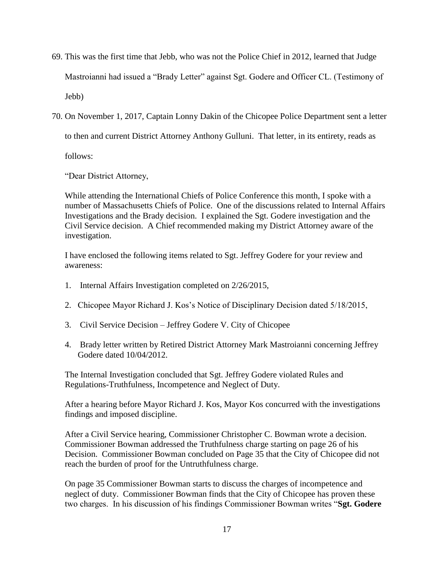- 69. This was the first time that Jebb, who was not the Police Chief in 2012, learned that Judge Mastroianni had issued a "Brady Letter" against Sgt. Godere and Officer CL. (Testimony of Jebb)
- 70. On November 1, 2017, Captain Lonny Dakin of the Chicopee Police Department sent a letter to then and current District Attorney Anthony Gulluni. That letter, in its entirety, reads as

follows:

"Dear District Attorney,

While attending the International Chiefs of Police Conference this month, I spoke with a number of Massachusetts Chiefs of Police. One of the discussions related to Internal Affairs Investigations and the Brady decision. I explained the Sgt. Godere investigation and the Civil Service decision. A Chief recommended making my District Attorney aware of the investigation.

I have enclosed the following items related to Sgt. Jeffrey Godere for your review and awareness:

- 1. Internal Affairs Investigation completed on 2/26/2015,
- 2. Chicopee Mayor Richard J. Kos's Notice of Disciplinary Decision dated 5/18/2015,
- 3. Civil Service Decision Jeffrey Godere V. City of Chicopee
- 4. Brady letter written by Retired District Attorney Mark Mastroianni concerning Jeffrey Godere dated 10/04/2012.

The Internal Investigation concluded that Sgt. Jeffrey Godere violated Rules and Regulations-Truthfulness, Incompetence and Neglect of Duty.

After a hearing before Mayor Richard J. Kos, Mayor Kos concurred with the investigations findings and imposed discipline.

After a Civil Service hearing, Commissioner Christopher C. Bowman wrote a decision. Commissioner Bowman addressed the Truthfulness charge starting on page 26 of his Decision. Commissioner Bowman concluded on Page 35 that the City of Chicopee did not reach the burden of proof for the Untruthfulness charge.

On page 35 Commissioner Bowman starts to discuss the charges of incompetence and neglect of duty. Commissioner Bowman finds that the City of Chicopee has proven these two charges. In his discussion of his findings Commissioner Bowman writes "**Sgt. Godere**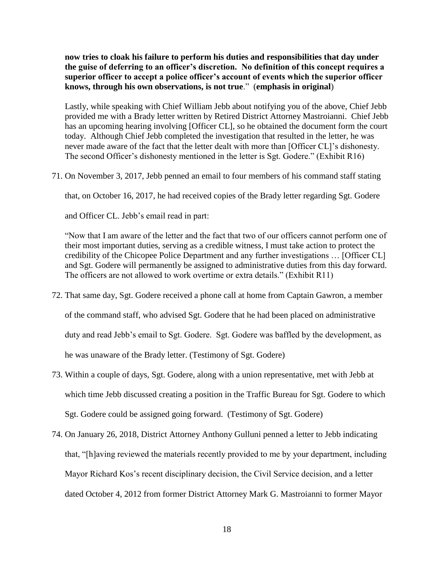**now tries to cloak his failure to perform his duties and responsibilities that day under the guise of deferring to an officer's discretion. No definition of this concept requires a superior officer to accept a police officer's account of events which the superior officer knows, through his own observations, is not true**." (**emphasis in original**)

Lastly, while speaking with Chief William Jebb about notifying you of the above, Chief Jebb provided me with a Brady letter written by Retired District Attorney Mastroianni. Chief Jebb has an upcoming hearing involving [Officer CL], so he obtained the document form the court today. Although Chief Jebb completed the investigation that resulted in the letter, he was never made aware of the fact that the letter dealt with more than [Officer CL]'s dishonesty. The second Officer's dishonesty mentioned in the letter is Sgt. Godere." (Exhibit R16)

71. On November 3, 2017, Jebb penned an email to four members of his command staff stating

that, on October 16, 2017, he had received copies of the Brady letter regarding Sgt. Godere

and Officer CL. Jebb's email read in part:

"Now that I am aware of the letter and the fact that two of our officers cannot perform one of their most important duties, serving as a credible witness, I must take action to protect the credibility of the Chicopee Police Department and any further investigations … [Officer CL] and Sgt. Godere will permanently be assigned to administrative duties from this day forward. The officers are not allowed to work overtime or extra details." (Exhibit R11)

- 72. That same day, Sgt. Godere received a phone call at home from Captain Gawron, a member of the command staff, who advised Sgt. Godere that he had been placed on administrative duty and read Jebb's email to Sgt. Godere. Sgt. Godere was baffled by the development, as he was unaware of the Brady letter. (Testimony of Sgt. Godere)
- 73. Within a couple of days, Sgt. Godere, along with a union representative, met with Jebb at which time Jebb discussed creating a position in the Traffic Bureau for Sgt. Godere to which Sgt. Godere could be assigned going forward. (Testimony of Sgt. Godere)
- 74. On January 26, 2018, District Attorney Anthony Gulluni penned a letter to Jebb indicating that, "[h]aving reviewed the materials recently provided to me by your department, including Mayor Richard Kos's recent disciplinary decision, the Civil Service decision, and a letter dated October 4, 2012 from former District Attorney Mark G. Mastroianni to former Mayor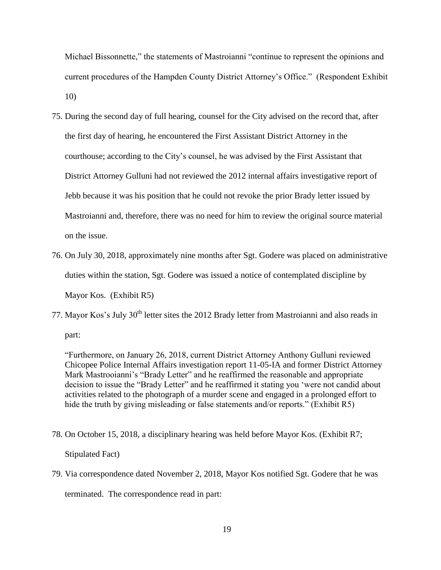Michael Bissonnette," the statements of Mastroianni "continue to represent the opinions and current procedures of the Hampden County District Attorney's Office." (Respondent Exhibit 10)

- 75. During the second day of full hearing, counsel for the City advised on the record that, after the first day of hearing, he encountered the First Assistant District Attorney in the courthouse; according to the City's counsel, he was advised by the First Assistant that District Attorney Gulluni had not reviewed the 2012 internal affairs investigative report of Jebb because it was his position that he could not revoke the prior Brady letter issued by Mastroianni and, therefore, there was no need for him to review the original source material on the issue.
- 76. On July 30, 2018, approximately nine months after Sgt. Godere was placed on administrative duties within the station, Sgt. Godere was issued a notice of contemplated discipline by Mayor Kos. (Exhibit R5)
- 77. Mayor Kos's July 30<sup>th</sup> letter sites the 2012 Brady letter from Mastroianni and also reads in part:

"Furthermore, on January 26, 2018, current District Attorney Anthony Gulluni reviewed Chicopee Police Internal Affairs investigation report 11-05-IA and former District Attorney Mark Mastrooianni's "Brady Letter" and he reaffirmed the reasonable and appropriate decision to issue the "Brady Letter" and he reaffirmed it stating you 'were not candid about activities related to the photograph of a murder scene and engaged in a prolonged effort to hide the truth by giving misleading or false statements and/or reports." (Exhibit R5)

- 78. On October 15, 2018, a disciplinary hearing was held before Mayor Kos. (Exhibit R7; Stipulated Fact)
- 79. Via correspondence dated November 2, 2018, Mayor Kos notified Sgt. Godere that he was terminated. The correspondence read in part: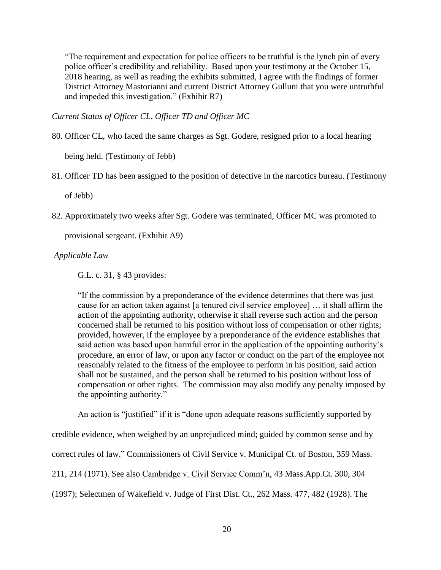"The requirement and expectation for police officers to be truthful is the lynch pin of every police officer's credibility and reliability. Based upon your testimony at the October 15, 2018 hearing, as well as reading the exhibits submitted, I agree with the findings of former District Attorney Mastorianni and current District Attorney Gulluni that you were untruthful and impeded this investigation." (Exhibit R7)

*Current Status of Officer CL, Officer TD and Officer MC*

80. Officer CL, who faced the same charges as Sgt. Godere, resigned prior to a local hearing

being held. (Testimony of Jebb)

81. Officer TD has been assigned to the position of detective in the narcotics bureau. (Testimony

of Jebb)

82. Approximately two weeks after Sgt. Godere was terminated, Officer MC was promoted to

provisional sergeant. (Exhibit A9)

## *Applicable Law*

G.L. c. 31, § 43 provides:

"If the commission by a preponderance of the evidence determines that there was just cause for an action taken against [a tenured civil service employee] … it shall affirm the action of the appointing authority, otherwise it shall reverse such action and the person concerned shall be returned to his position without loss of compensation or other rights; provided, however, if the employee by a preponderance of the evidence establishes that said action was based upon harmful error in the application of the appointing authority's procedure, an error of law, or upon any factor or conduct on the part of the employee not reasonably related to the fitness of the employee to perform in his position, said action shall not be sustained, and the person shall be returned to his position without loss of compensation or other rights. The commission may also modify any penalty imposed by the appointing authority."

An action is "justified" if it is "done upon adequate reasons sufficiently supported by

credible evidence, when weighed by an unprejudiced mind; guided by common sense and by

correct rules of law." Commissioners of Civil Service v. Municipal Ct. of Boston, 359 Mass.

211, 214 (1971). See also Cambridge v. Civil Service Comm'n, 43 Mass.App.Ct. 300, 304

(1997); Selectmen of Wakefield v. Judge of First Dist. Ct., 262 Mass. 477, 482 (1928). The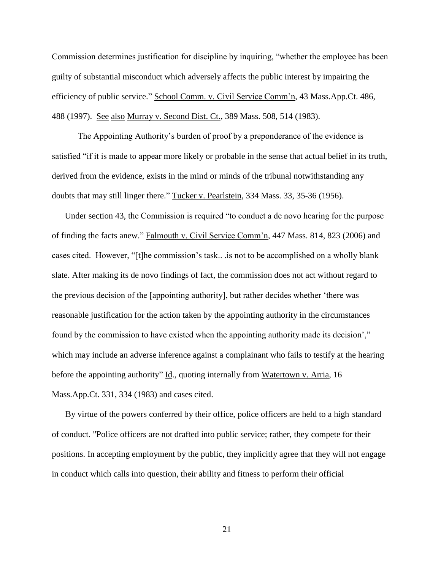Commission determines justification for discipline by inquiring, "whether the employee has been guilty of substantial misconduct which adversely affects the public interest by impairing the efficiency of public service." School Comm. v. Civil Service Comm'n, 43 Mass.App.Ct. 486, 488 (1997). See also Murray v. Second Dist. Ct., 389 Mass. 508, 514 (1983).

The Appointing Authority's burden of proof by a preponderance of the evidence is satisfied "if it is made to appear more likely or probable in the sense that actual belief in its truth, derived from the evidence, exists in the mind or minds of the tribunal notwithstanding any doubts that may still linger there." Tucker v. Pearlstein, 334 Mass. 33, 35-36 (1956).

Under section 43, the Commission is required "to conduct a de novo hearing for the purpose of finding the facts anew." Falmouth v. Civil Service Comm'n, 447 Mass. 814, 823 (2006) and cases cited. However, "[t]he commission's task.. .is not to be accomplished on a wholly blank slate. After making its de novo findings of fact, the commission does not act without regard to the previous decision of the [appointing authority], but rather decides whether 'there was reasonable justification for the action taken by the appointing authority in the circumstances found by the commission to have existed when the appointing authority made its decision'," which may include an adverse inference against a complainant who fails to testify at the hearing before the appointing authority" Id., quoting internally from Watertown v. Arria, 16 Mass.App.Ct. 331, 334 (1983) and cases cited.

By virtue of the powers conferred by their office, police officers are held to a highstandard of conduct. "Police officers are not drafted into public service; rather, they compete for their positions. In accepting employment by the public, they implicitly agree that they will not engage in conduct which calls into question, their ability and fitness to perform their official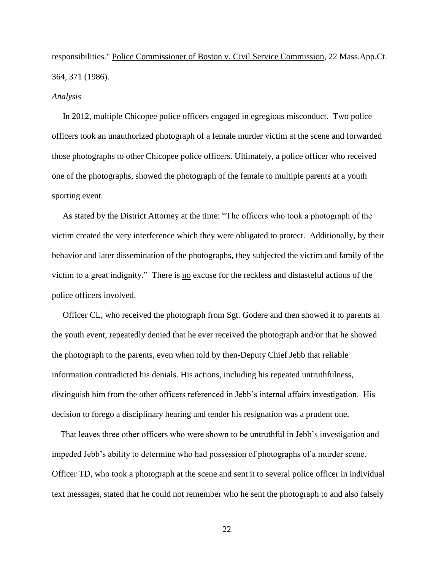responsibilities." Police Commissioner of Boston v. Civil Service Commission, 22 Mass.App.Ct. 364, 371 (1986).

#### *Analysis*

 In 2012, multiple Chicopee police officers engaged in egregious misconduct. Two police officers took an unauthorized photograph of a female murder victim at the scene and forwarded those photographs to other Chicopee police officers. Ultimately, a police officer who received one of the photographs, showed the photograph of the female to multiple parents at a youth sporting event.

 As stated by the District Attorney at the time: "The officers who took a photograph of the victim created the very interference which they were obligated to protect. Additionally, by their behavior and later dissemination of the photographs, they subjected the victim and family of the victim to a great indignity." There is no excuse for the reckless and distasteful actions of the police officers involved.

 Officer CL, who received the photograph from Sgt. Godere and then showed it to parents at the youth event, repeatedly denied that he ever received the photograph and/or that he showed the photograph to the parents, even when told by then-Deputy Chief Jebb that reliable information contradicted his denials. His actions, including his repeated untruthfulness, distinguish him from the other officers referenced in Jebb's internal affairs investigation. His decision to forego a disciplinary hearing and tender his resignation was a prudent one.

 That leaves three other officers who were shown to be untruthful in Jebb's investigation and impeded Jebb's ability to determine who had possession of photographs of a murder scene. Officer TD, who took a photograph at the scene and sent it to several police officer in individual text messages, stated that he could not remember who he sent the photograph to and also falsely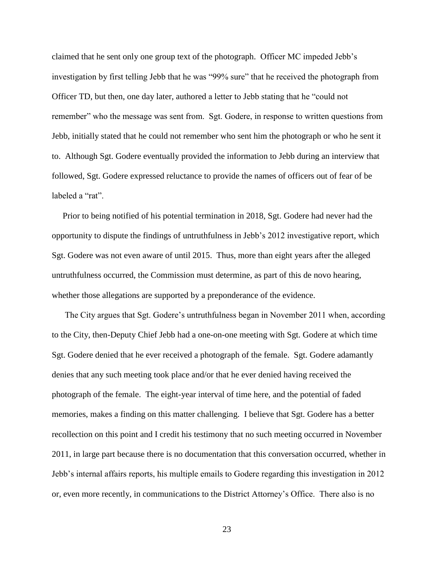claimed that he sent only one group text of the photograph. Officer MC impeded Jebb's investigation by first telling Jebb that he was "99% sure" that he received the photograph from Officer TD, but then, one day later, authored a letter to Jebb stating that he "could not remember" who the message was sent from. Sgt. Godere, in response to written questions from Jebb, initially stated that he could not remember who sent him the photograph or who he sent it to. Although Sgt. Godere eventually provided the information to Jebb during an interview that followed, Sgt. Godere expressed reluctance to provide the names of officers out of fear of be labeled a "rat".

 Prior to being notified of his potential termination in 2018, Sgt. Godere had never had the opportunity to dispute the findings of untruthfulness in Jebb's 2012 investigative report, which Sgt. Godere was not even aware of until 2015. Thus, more than eight years after the alleged untruthfulness occurred, the Commission must determine, as part of this de novo hearing, whether those allegations are supported by a preponderance of the evidence.

 The City argues that Sgt. Godere's untruthfulness began in November 2011 when, according to the City, then-Deputy Chief Jebb had a one-on-one meeting with Sgt. Godere at which time Sgt. Godere denied that he ever received a photograph of the female. Sgt. Godere adamantly denies that any such meeting took place and/or that he ever denied having received the photograph of the female. The eight-year interval of time here, and the potential of faded memories, makes a finding on this matter challenging. I believe that Sgt. Godere has a better recollection on this point and I credit his testimony that no such meeting occurred in November 2011, in large part because there is no documentation that this conversation occurred, whether in Jebb's internal affairs reports, his multiple emails to Godere regarding this investigation in 2012 or, even more recently, in communications to the District Attorney's Office. There also is no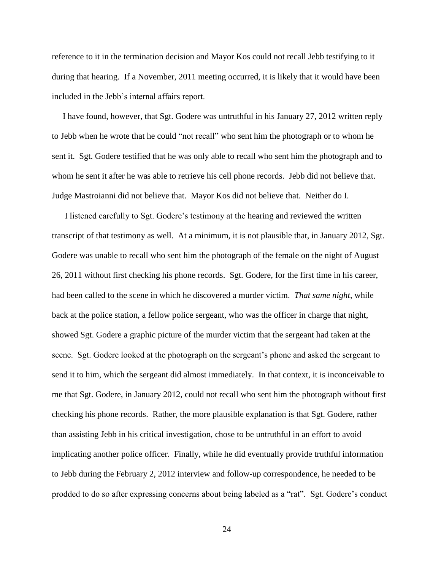reference to it in the termination decision and Mayor Kos could not recall Jebb testifying to it during that hearing. If a November, 2011 meeting occurred, it is likely that it would have been included in the Jebb's internal affairs report.

 I have found, however, that Sgt. Godere was untruthful in his January 27, 2012 written reply to Jebb when he wrote that he could "not recall" who sent him the photograph or to whom he sent it. Sgt. Godere testified that he was only able to recall who sent him the photograph and to whom he sent it after he was able to retrieve his cell phone records. Jebb did not believe that. Judge Mastroianni did not believe that. Mayor Kos did not believe that. Neither do I.

 I listened carefully to Sgt. Godere's testimony at the hearing and reviewed the written transcript of that testimony as well. At a minimum, it is not plausible that, in January 2012, Sgt. Godere was unable to recall who sent him the photograph of the female on the night of August 26, 2011 without first checking his phone records. Sgt. Godere, for the first time in his career, had been called to the scene in which he discovered a murder victim. *That same night*, while back at the police station, a fellow police sergeant, who was the officer in charge that night, showed Sgt. Godere a graphic picture of the murder victim that the sergeant had taken at the scene. Sgt. Godere looked at the photograph on the sergeant's phone and asked the sergeant to send it to him, which the sergeant did almost immediately. In that context, it is inconceivable to me that Sgt. Godere, in January 2012, could not recall who sent him the photograph without first checking his phone records. Rather, the more plausible explanation is that Sgt. Godere, rather than assisting Jebb in his critical investigation, chose to be untruthful in an effort to avoid implicating another police officer. Finally, while he did eventually provide truthful information to Jebb during the February 2, 2012 interview and follow-up correspondence, he needed to be prodded to do so after expressing concerns about being labeled as a "rat". Sgt. Godere's conduct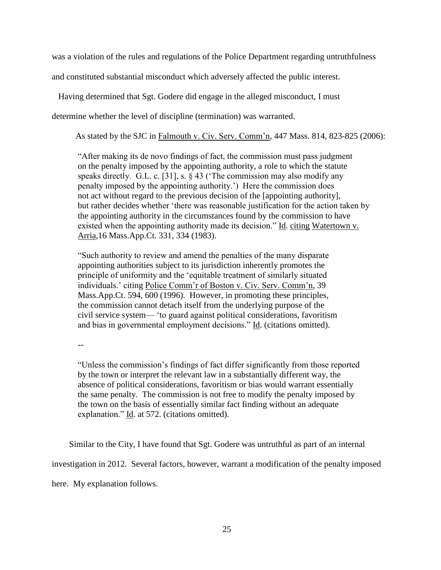was a violation of the rules and regulations of the Police Department regarding untruthfulness

and constituted substantial misconduct which adversely affected the public interest.

Having determined that Sgt. Godere did engage in the alleged misconduct, I must

determine whether the level of discipline (termination) was warranted.

As stated by the SJC in Falmouth v. Civ. Serv. Comm'n, 447 Mass. 814, 823-825 (2006):

 "After making its de novo findings of fact, the commission must pass judgment on the penalty imposed by the appointing authority, a role to which the statute speaks directly. G.L. c. [31], s. § 43 ('The commission may also modify any penalty imposed by the appointing authority.') Here the commission does not act without regard to the previous decision of the [appointing authority], but rather decides whether 'there was reasonable justification for the action taken by the appointing authority in the circumstances found by the commission to have existed when the appointing authority made its decision." Id. citing Watertown v. Arria,16 Mass.App.Ct. 331, 334 (1983).

"Such authority to review and amend the penalties of the many disparate appointing authorities subject to its jurisdiction inherently promotes the principle of uniformity and the 'equitable treatment of similarly situated individuals.' citing Police Comm'r of Boston v. Civ. Serv. Comm'n, 39 Mass.App.Ct. 594, 600 (1996). However, in promoting these principles, the commission cannot detach itself from the underlying purpose of the civil service system— 'to guard against political considerations, favoritism and bias in governmental employment decisions." Id. (citations omitted).

--

"Unless the commission's findings of fact differ significantly from those reported by the town or interpret the relevant law in a substantially different way, the absence of political considerations, favoritism or bias would warrant essentially the same penalty. The commission is not free to modify the penalty imposed by the town on the basis of essentially similar fact finding without an adequate explanation." Id. at 572. (citations omitted).

Similar to the City, I have found that Sgt. Godere was untruthful as part of an internal

investigation in 2012. Several factors, however, warrant a modification of the penalty imposed

here. My explanation follows.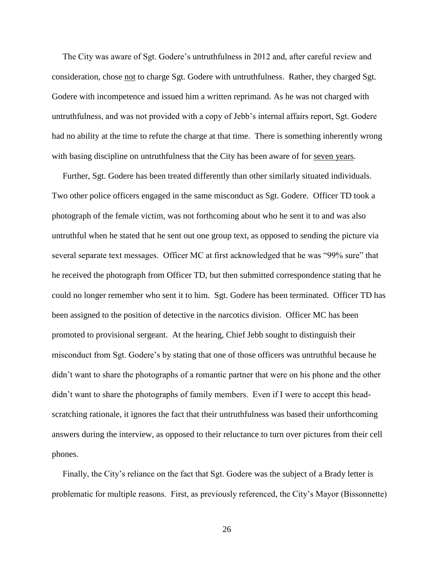The City was aware of Sgt. Godere's untruthfulness in 2012 and, after careful review and consideration, chose not to charge Sgt. Godere with untruthfulness. Rather, they charged Sgt. Godere with incompetence and issued him a written reprimand. As he was not charged with untruthfulness, and was not provided with a copy of Jebb's internal affairs report, Sgt. Godere had no ability at the time to refute the charge at that time. There is something inherently wrong with basing discipline on untruthfulness that the City has been aware of for seven years.

 Further, Sgt. Godere has been treated differently than other similarly situated individuals. Two other police officers engaged in the same misconduct as Sgt. Godere. Officer TD took a photograph of the female victim, was not forthcoming about who he sent it to and was also untruthful when he stated that he sent out one group text, as opposed to sending the picture via several separate text messages. Officer MC at first acknowledged that he was "99% sure" that he received the photograph from Officer TD, but then submitted correspondence stating that he could no longer remember who sent it to him. Sgt. Godere has been terminated. Officer TD has been assigned to the position of detective in the narcotics division. Officer MC has been promoted to provisional sergeant. At the hearing, Chief Jebb sought to distinguish their misconduct from Sgt. Godere's by stating that one of those officers was untruthful because he didn't want to share the photographs of a romantic partner that were on his phone and the other didn't want to share the photographs of family members. Even if I were to accept this headscratching rationale, it ignores the fact that their untruthfulness was based their unforthcoming answers during the interview, as opposed to their reluctance to turn over pictures from their cell phones.

 Finally, the City's reliance on the fact that Sgt. Godere was the subject of a Brady letter is problematic for multiple reasons. First, as previously referenced, the City's Mayor (Bissonnette)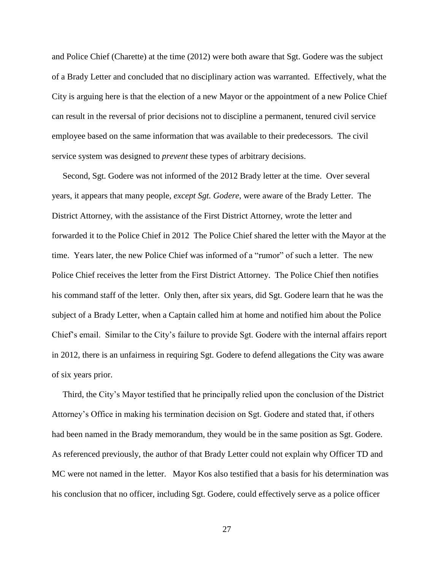and Police Chief (Charette) at the time (2012) were both aware that Sgt. Godere was the subject of a Brady Letter and concluded that no disciplinary action was warranted. Effectively, what the City is arguing here is that the election of a new Mayor or the appointment of a new Police Chief can result in the reversal of prior decisions not to discipline a permanent, tenured civil service employee based on the same information that was available to their predecessors. The civil service system was designed to *prevent* these types of arbitrary decisions.

 Second, Sgt. Godere was not informed of the 2012 Brady letter at the time. Over several years, it appears that many people, *except Sgt. Godere*, were aware of the Brady Letter. The District Attorney, with the assistance of the First District Attorney, wrote the letter and forwarded it to the Police Chief in 2012 The Police Chief shared the letter with the Mayor at the time. Years later, the new Police Chief was informed of a "rumor" of such a letter. The new Police Chief receives the letter from the First District Attorney. The Police Chief then notifies his command staff of the letter. Only then, after six years, did Sgt. Godere learn that he was the subject of a Brady Letter, when a Captain called him at home and notified him about the Police Chief's email. Similar to the City's failure to provide Sgt. Godere with the internal affairs report in 2012, there is an unfairness in requiring Sgt. Godere to defend allegations the City was aware of six years prior.

 Third, the City's Mayor testified that he principally relied upon the conclusion of the District Attorney's Office in making his termination decision on Sgt. Godere and stated that, if others had been named in the Brady memorandum, they would be in the same position as Sgt. Godere. As referenced previously, the author of that Brady Letter could not explain why Officer TD and MC were not named in the letter. Mayor Kos also testified that a basis for his determination was his conclusion that no officer, including Sgt. Godere, could effectively serve as a police officer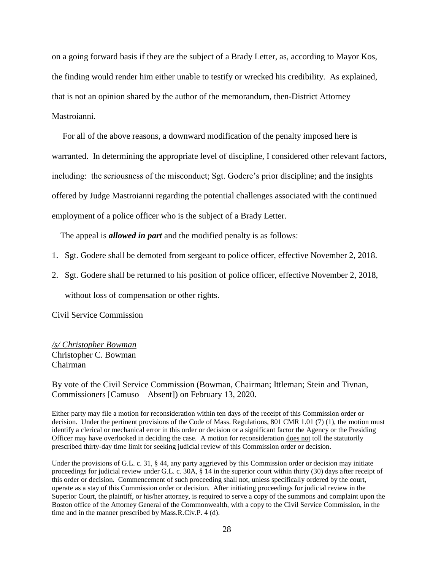on a going forward basis if they are the subject of a Brady Letter, as, according to Mayor Kos, the finding would render him either unable to testify or wrecked his credibility. As explained, that is not an opinion shared by the author of the memorandum, then-District Attorney Mastroianni.

 For all of the above reasons, a downward modification of the penalty imposed here is warranted. In determining the appropriate level of discipline, I considered other relevant factors, including: the seriousness of the misconduct; Sgt. Godere's prior discipline; and the insights offered by Judge Mastroianni regarding the potential challenges associated with the continued employment of a police officer who is the subject of a Brady Letter.

The appeal is *allowed in part* and the modified penalty is as follows:

- 1. Sgt. Godere shall be demoted from sergeant to police officer, effective November 2, 2018.
- 2. Sgt. Godere shall be returned to his position of police officer, effective November 2, 2018, without loss of compensation or other rights.

Civil Service Commission

## */s/ Christopher Bowman* Christopher C. Bowman Chairman

By vote of the Civil Service Commission (Bowman, Chairman; Ittleman; Stein and Tivnan, Commissioners [Camuso – Absent]) on February 13, 2020.

Either party may file a motion for reconsideration within ten days of the receipt of this Commission order or decision. Under the pertinent provisions of the Code of Mass. Regulations, 801 CMR 1.01 (7) (1), the motion must identify a clerical or mechanical error in this order or decision or a significant factor the Agency or the Presiding Officer may have overlooked in deciding the case. A motion for reconsideration does not toll the statutorily prescribed thirty-day time limit for seeking judicial review of this Commission order or decision.

Under the provisions of G.L. c. 31, § 44, any party aggrieved by this Commission order or decision may initiate proceedings for judicial review under G.L. c. 30A, § 14 in the superior court within thirty (30) days after receipt of this order or decision. Commencement of such proceeding shall not, unless specifically ordered by the court, operate as a stay of this Commission order or decision. After initiating proceedings for judicial review in the Superior Court, the plaintiff, or his/her attorney, is required to serve a copy of the summons and complaint upon the Boston office of the Attorney General of the Commonwealth, with a copy to the Civil Service Commission, in the time and in the manner prescribed by Mass.R.Civ.P. 4 (d).